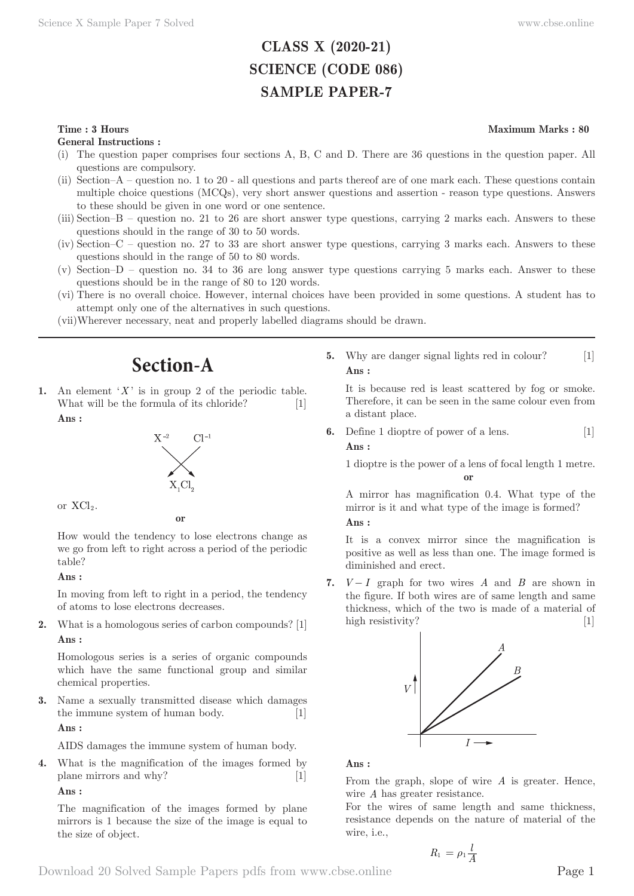# **CLASS X (2020-21) SCIENCE (CODE 086) SAMPLE PAPER-7**

# **Time : 3 Hours** Maximum Marks : 80

**General Instructions :**

- (i) The question paper comprises four sections A, B, C and D. There are 36 questions in the question paper. All questions are compulsory.
- (ii) Section–A question no. 1 to 20 all questions and parts thereof are of one mark each. These questions contain multiple choice questions (MCQs), very short answer questions and assertion - reason type questions. Answers to these should be given in one word or one sentence.
- (iii) Section–B question no. 21 to 26 are short answer type questions, carrying 2 marks each. Answers to these questions should in the range of 30 to 50 words.
- (iv) Section–C question no. 27 to 33 are short answer type questions, carrying 3 marks each. Answers to these questions should in the range of 50 to 80 words.
- (v) Section–D question no. 34 to 36 are long answer type questions carrying 5 marks each. Answer to these questions should be in the range of 80 to 120 words.
- (vi) There is no overall choice. However, internal choices have been provided in some questions. A student has to attempt only one of the alternatives in such questions.
- (vii) Wherever necessary, neat and properly labelled diagrams should be drawn.

# **Section-A**

An element ' $X$ ' is in group 2 of the periodic table. What will be the formula of its chloride? [1] **Ans :** 





**or**

How would the tendency to lose electrons change as we go from left to right across a period of the periodic table?

### **Ans :**

In moving from left to right in a period, the tendency of atoms to lose electrons decreases.

**2.** What is a homologous series of carbon compounds? [1] **Ans :** 

Homologous series is a series of organic compounds which have the same functional group and similar chemical properties.

**3.** Name a sexually transmitted disease which damages the immune system of human body. [1]

**Ans :** 

AIDS damages the immune system of human body.

**4.** What is the magnification of the images formed by plane mirrors and why? [1]

**Ans :** 

The magnification of the images formed by plane mirrors is 1 because the size of the image is equal to the size of object.

**5.** Why are danger signal lights red in colour? [1] **Ans :** 

It is because red is least scattered by fog or smoke. Therefore, it can be seen in the same colour even from a distant place.

**6.** Define 1 dioptre of power of a lens. [1]

**Ans :** 

1 dioptre is the power of a lens of focal length 1 metre. **or**

A mirror has magnification 0.4. What type of the mirror is it and what type of the image is formed? **Ans :** 

It is a convex mirror since the magnification is positive as well as less than one. The image formed is diminished and erect.

**7.**  $V-I$  graph for two wires *A* and *B* are shown in the figure. If both wires are of same length and same thickness, which of the two is made of a material of high resistivity? [1]



**Ans :** 

From the graph, slope of wire *A* is greater. Hence, wire *A* has greater resistance.

For the wires of same length and same thickness, resistance depends on the nature of material of the wire, i.e.,

$$
R_1 = \rho_1 \frac{l}{A}
$$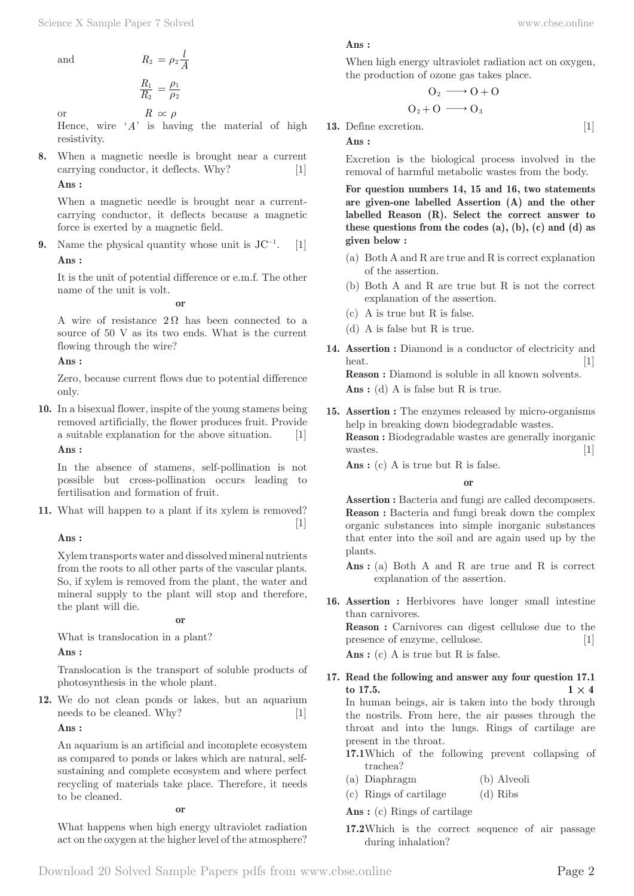and 
$$
R_2 = \rho_2 \frac{l}{A}
$$

$$
\frac{R_1}{R_2} = \frac{\rho_1}{\rho_2}
$$

or 
$$
R \propto \rho
$$

Hence, wire '*A*' is having the material of high resistivity.

**8.** When a magnetic needle is brought near a current carrying conductor, it deflects. Why? [1] **Ans :** 

When a magnetic needle is brought near a currentcarrying conductor, it deflects because a magnetic force is exerted by a magnetic field.

**9.** Name the physical quantity whose unit is  $JC^{-1}$ .  $\lceil 1 \rceil$ **Ans :** 

It is the unit of potential difference or e.m.f. The other name of the unit is volt.

**or**

A wire of resistance  $2\Omega$  has been connected to a source of 50 V as its two ends. What is the current flowing through the wire?

**Ans :** 

Zero, because current flows due to potential difference only.

**10.** In a bisexual flower, inspite of the young stamens being removed artificially, the flower produces fruit. Provide a suitable explanation for the above situation. [1] **Ans :** 

In the absence of stamens, self-pollination is not possible but cross-pollination occurs leading to fertilisation and formation of fruit.

**11.** What will happen to a plant if its xylem is removed?  $\lceil 1 \rceil$ 

# **Ans :**

Xylem transports water and dissolved mineral nutrients from the roots to all other parts of the vascular plants. So, if xylem is removed from the plant, the water and mineral supply to the plant will stop and therefore, the plant will die.

**or**

What is translocation in a plant?

**Ans :** 

Translocation is the transport of soluble products of photosynthesis in the whole plant.

**12.** We do not clean ponds or lakes, but an aquarium needs to be cleaned. Why? [1]

**Ans :** 

An aquarium is an artificial and incomplete ecosystem as compared to ponds or lakes which are natural, selfsustaining and complete ecosystem and where perfect recycling of materials take place. Therefore, it needs to be cleaned.

**or**

What happens when high energy ultraviolet radiation act on the oxygen at the higher level of the atmosphere? **Ans :** 

When high energy ultraviolet radiation act on oxygen, the production of ozone gas takes place.

$$
O_2 \longrightarrow O + O
$$
  

$$
O_2 + O \longrightarrow O_3
$$

**13.** Define excretion. [1] **Ans :** 

Excretion is the biological process involved in the removal of harmful metabolic wastes from the body.

**For question numbers 14, 15 and 16, two statements are given-one labelled Assertion (A) and the other labelled Reason (R). Select the correct answer to these questions from the codes (a), (b), (c) and (d) as given below :**

- (a) Both A and R are true and R is correct explanation of the assertion.
- (b) Both A and R are true but R is not the correct explanation of the assertion.
- (c) A is true but R is false.
- (d) A is false but R is true.
- 14. Assertion : Diamond is a conductor of electricity and heat. [1] **Reason :** Diamond is soluble in all known solvents.

Ans : (d) A is false but R is true.

**15. Assertion :** The enzymes released by micro-organisms help in breaking down biodegradable wastes. **Reason :** Biodegradable wastes are generally inorganic wastes. [1]

Ans : (c) A is true but R is false.

**or**

**Assertion :** Bacteria and fungi are called decomposers. **Reason :** Bacteria and fungi break down the complex organic substances into simple inorganic substances that enter into the soil and are again used up by the plants.

Ans : (a) Both A and R are true and R is correct explanation of the assertion.

**16. Assertion :** Herbivores have longer small intestine than carnivores.

**Reason :** Carnivores can digest cellulose due to the presence of enzyme, cellulose. [1]

Ans : (c) A is true but R is false.

- **17. Read the following and answer any four question 17.1**   $1 \times 4$ In human beings, air is taken into the body through the nostrils. From here, the air passes through the throat and into the lungs. Rings of cartilage are present in the throat.
	- **17.1** Which of the following prevent collapsing of trachea?
	- (a) Diaphragm (b) Alveoli
	- (c) Rings of cartilage (d) Ribs

**Ans :** (c) Rings of cartilage

**17.2** Which is the correct sequence of air passage during inhalation?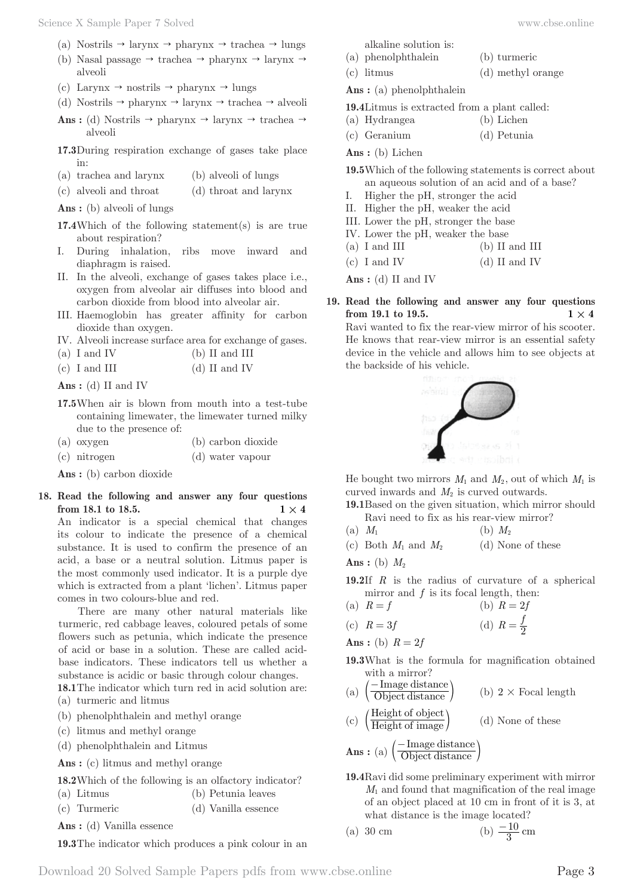- (a) Nostrils  $\rightarrow$  larynx  $\rightarrow$  pharynx  $\rightarrow$  trachea  $\rightarrow$  lungs
- (b) Nasal passage  $\rightarrow$  trachea  $\rightarrow$  pharynx  $\rightarrow$  larynx  $\rightarrow$ alveoli
- (c) Larynx  $\rightarrow$  nostrils  $\rightarrow$  pharynx  $\rightarrow$  lungs
- (d) Nostrils  $\rightarrow$  pharynx  $\rightarrow$  larynx  $\rightarrow$  trachea  $\rightarrow$  alveoli
- **Ans :** (d) Nostrils  $\rightarrow$  pharynx  $\rightarrow$  larynx  $\rightarrow$  trachea  $\rightarrow$ alveoli
- **17.3** During respiration exchange of gases take place in:
- (a) trachea and larynx (b) alveoli of lungs
- (c) alveoli and throat (d) throat and larynx

**Ans :** (b) alveoli of lungs

- **17.4** Which of the following statement(s) is are true about respiration?
- I. During inhalation, ribs move inward and diaphragm is raised.
- II. In the alveoli, exchange of gases takes place i.e., oxygen from alveolar air diffuses into blood and carbon dioxide from blood into alveolar air.
- III. Haemoglobin has greater affinity for carbon dioxide than oxygen.
- IV. Alveoli increase surface area for exchange of gases.
- (a) I and IV (b) II and III
- (c) I and III (d) II and IV

**Ans :** (d) II and IV

- **17.5** When air is blown from mouth into a test-tube containing limewater, the limewater turned milky due to the presence of:
- (a) oxygen (b) carbon dioxide
- (c) nitrogen (d) water vapour

**Ans :** (b) carbon dioxide

# **18. Read the following and answer any four questions from 18.1 to 18.5. 1**  $\times$  **4**

An indicator is a special chemical that changes its colour to indicate the presence of a chemical substance. It is used to confirm the presence of an acid, a base or a neutral solution. Litmus paper is the most commonly used indicator. It is a purple dye which is extracted from a plant 'lichen'. Litmus paper comes in two colours-blue and red.

There are many other natural materials like turmeric, red cabbage leaves, coloured petals of some flowers such as petunia, which indicate the presence of acid or base in a solution. These are called acidbase indicators. These indicators tell us whether a substance is acidic or basic through colour changes.

**18.1** The indicator which turn red in acid solution are: (a) turmeric and litmus

- (b) phenolphthalein and methyl orange
- (c) litmus and methyl orange
- (d) phenolphthalein and Litmus

Ans : (c) litmus and methyl orange

| 18.2 Which of the following is an olfactory indicator? |  |  |  |
|--------------------------------------------------------|--|--|--|
|--------------------------------------------------------|--|--|--|

- (a) Litmus (b) Petunia leaves
- (c) Turmeric (d) Vanilla essence

**Ans :** (d) Vanilla essence

**19.3** The indicator which produces a pink colour in an

- alkaline solution is:
- (a) phenolphthalein (b) turmeric
- (c) litmus (d) methyl orange

**Ans :** (a) phenolphthalein

- **19.4** Litmus is extracted from a plant called:
- (a) Hydrangea (b) Lichen
- (c) Geranium (d) Petunia

**Ans :** (b) Lichen

**19.5** Which of the following statements is correct about an aqueous solution of an acid and of a base?

- I. Higher the pH, stronger the acid
- II. Higher the pH, weaker the acid
- III. Lower the pH, stronger the base
- IV. Lower the pH, weaker the base
- (a) I and III (b) II and III
- (c) I and IV (d) II and IV

**Ans :** (d) II and IV

**19. Read the following and answer any four questions from 19.1 to 19.5. 1**  $\times$  **4** Ravi wanted to fix the rear-view mirror of his scooter.

He knows that rear-view mirror is an essential safety device in the vehicle and allows him to see objects at the backside of his vehicle.



He bought two mirrors  $M_1$  and  $M_2$ , out of which  $M_1$  is curved inwards and *M*2 is curved outwards.

**19.1** Based on the given situation, which mirror should Ravi need to fix as his rear-view mirror?

- (a)  $M_1$  (b)  $M_2$
- (c) Both  $M_1$  and  $M_2$  (d) None of these

**Ans** : (b)  $M_2$ 

- **19.2** If *R* is the radius of curvature of a spherical mirror and *f* is its focal length, then:
- (a)  $R = f$  (b)  $R = 2f$

(c) 
$$
R = 3f
$$
 (d)  $R = \frac{f}{2}$ 

**Ans** : (b)  $R = 2f$ 

**19.3** What is the formula for magnification obtained with a mirror?

(a) 
$$
\left(\frac{-\text{Image distance}}{\text{Object distance}}\right)
$$
 (b)  $2 \times \text{Focal length}$ 

(c) 
$$
\left( \frac{\text{Height of object}}{\text{Height of image}} \right)
$$
 (d) None of these

**Ans** : (a)  $\left(\frac{-\text{Image distant}}{\text{Object distant}}\right)$  $\left(\frac{-\text{Image distance}}{\text{Object distance}}\right)$ 

**19.4** Ravi did some preliminary experiment with mirror *M*1 and found that magnification of the real image of an object placed at 10 cm in front of it is 3, at what distance is the image located?

(a) 30 cm (b) 
$$
\frac{-10}{3}
$$
 cm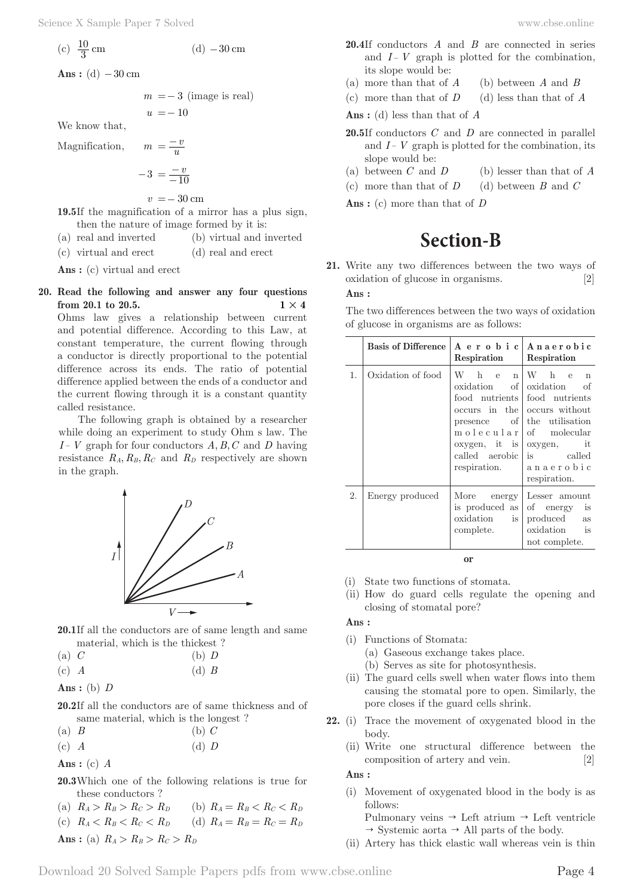(c) 
$$
\frac{10}{3}
$$
 cm (d) -30 cm

Ans :  $(d)$  – 30 cm

$$
m = -3
$$
 (image is real)

$$
u = -10
$$

 $=\frac{-v}{u}$ 

We know that,

Magnification, *m*

$$
-3 = \frac{-v}{-10}
$$

 $v = 30$  cm

**19.5** If the magnification of a mirror has a plus sign, then the nature of image formed by it is:

- (a) real and inverted (b) virtual and inverted
- (c) virtual and erect (d) real and erect

**Ans :** (c) virtual and erect

**20. Read the following and answer any four questions from 20.1 to 20.5. 1**  $\times$  **4** 

Ohms law gives a relationship between current and potential difference. According to this Law, at constant temperature, the current flowing through a conductor is directly proportional to the potential difference across its ends. The ratio of potential difference applied between the ends of a conductor and the current flowing through it is a constant quantity called resistance.

The following graph is obtained by a researcher while doing an experiment to study Ohm s law. The *I*− *V* graph for four conductors *A, B, C* and *D* having resistance  $R_A, R_B, R_C$  and  $R_D$  respectively are shown in the graph.



- 20.1If all the conductors are of same length and same material, which is the thickest ?
- (a) *C* (b) *D*
- (c) *A* (d) *B*

$$
Ans: (b) D
$$

- **20.2** If all the conductors are of same thickness and of same material, which is the longest ?
- (a) *B* (b) *C*
- (c) *A* (d) *D*

**Ans :** (c) *A*

- **20.3** Which one of the following relations is true for these conductors ?
- (a)  $R_A > R_B > R_C > R_D$  (b)  $R_A = R_B < R_C < R_D$
- (c)  $R_A < R_B < R_C < R_D$  (d)  $R_A = R_B = R_C = R_D$
- **Ans** : (a)  $R_A > R_B > R_C > R_D$
- **20.4** If conductors *A* and *B* are connected in series and  $I - V$  graph is plotted for the combination, its slope would be:
- (a) more than that of *A* (b) between *A* and *B*
- (c) more than that of *D* (d) less than that of *A*

**Ans :** (d) less than that of *A*

- **20.5** If conductors *C* and *D* are connected in parallel and *I*− *V* graph is plotted for the combination, its slope would be:
- (a) between *C* and *D* (b) lesser than that of *A*
- (c) more than that of *D* (d) between *B* and *C*

**Ans :** (c) more than that of *D*

# **Section-B**

**21.** Write any two differences between the two ways of oxidation of glucose in organisms. [2] **Ans :** 

The two differences between the two ways of oxidation of glucose in organisms are as follows:

|    | <b>Basis of Difference</b> | Respiration                                                               | A erobic   Anaerobic<br>Respiration                                                                                                                                                                                                           |
|----|----------------------------|---------------------------------------------------------------------------|-----------------------------------------------------------------------------------------------------------------------------------------------------------------------------------------------------------------------------------------------|
| 1. | Oxidation of food          | W h e<br>n<br>oxidation<br>called aerobic  <br>respiration.               | W h e<br>n<br>of oxidation<br>-of<br>food nutrients food nutrients<br>occurs in the occurs without<br>presence of the utilisation<br>molecular of molecular<br>oxygen, it is   oxygen, it<br>is called<br>  a n a e r o b i c<br>respiration. |
| 2. | Energy produced            | More<br>$\text{energy}$<br>is produced as<br>oxidation<br>is<br>complete. | Lesser amount<br>of energy is<br>produced<br>as<br>oxidation is<br>not complete.                                                                                                                                                              |

**or**

- (i) State two functions of stomata.
- (ii) How do guard cells regulate the opening and closing of stomatal pore?

### **Ans :**

- (i) Functions of Stomata:
	- (a) Gaseous exchange takes place.
	- (b) Serves as site for photosynthesis.
- (ii) The guard cells swell when water flows into them causing the stomatal pore to open. Similarly, the pore closes if the guard cells shrink.
- **22.** (i) Trace the movement of oxygenated blood in the body.
	- (ii) Write one structural difference between the composition of artery and vein. [2]

**Ans :** 

- (i) Movement of oxygenated blood in the body is as follows:
	- Pulmonary veins  $\rightarrow$  Left atrium  $\rightarrow$  Left ventricle  $\rightarrow$  Systemic aorta  $\rightarrow$  All parts of the body.
- (ii) Artery has thick elastic wall whereas vein is thin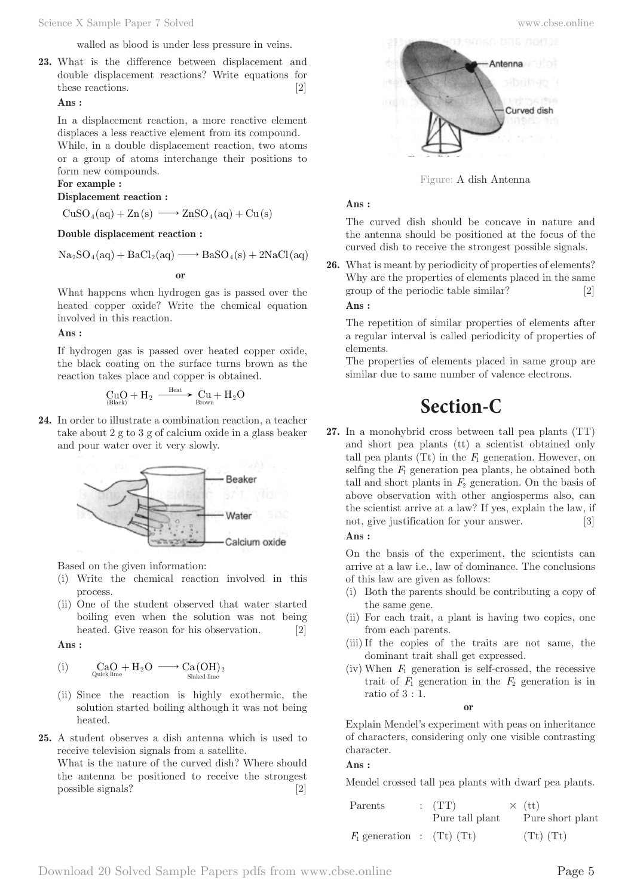walled as blood is under less pressure in veins.

**23.** What is the difference between displacement and double displacement reactions? Write equations for these reactions. [2]

# **Ans :**

In a displacement reaction, a more reactive element displaces a less reactive element from its compound.

While, in a double displacement reaction, two atoms or a group of atoms interchange their positions to form new compounds.

### **For example :**

### **Displacement reaction :**

 $CuSO_4(aq) + Zn(s) \longrightarrow ZnSO_4(aq) + Cu(s)$ 

#### **Double displacement reaction :**

 $Na<sub>2</sub>SO<sub>4</sub>(aq) + BaCl<sub>2</sub>(aq) \longrightarrow BaSO<sub>4</sub>(s) + 2NaCl(aq)$ 

**or**

What happens when hydrogen gas is passed over the heated copper oxide? Write the chemical equation involved in this reaction.

#### **Ans :**

If hydrogen gas is passed over heated copper oxide, the black coating on the surface turns brown as the reaction takes place and copper is obtained.

$$
\underset{\text{(Black)}}{CuO} + H_2 \xrightarrow{\quad \text{Heat}} C u + H_2 O
$$

**24.** In order to illustrate a combination reaction, a teacher take about 2 g to 3 g of calcium oxide in a glass beaker and pour water over it very slowly.



Based on the given information:

- (i) Write the chemical reaction involved in this process.
- (ii) One of the student observed that water started boiling even when the solution was not being heated. Give reason for his observation. [2]

**Ans :** 

$$
(i) \qquad \underset{Quick\ {\rm line}}{CaO} + H_2O \ \longrightarrow \underset{Slaked\ {\rm line}}{Ca(OH)_2}
$$

- (ii) Since the reaction is highly exothermic, the solution started boiling although it was not being heated.
- **25.** A student observes a dish antenna which is used to receive television signals from a satellite.

What is the nature of the curved dish? Where should the antenna be positioned to receive the strongest possible signals? [2]



Figure: A dish Antenna

# **Ans :**

The curved dish should be concave in nature and the antenna should be positioned at the focus of the curved dish to receive the strongest possible signals.

**26.** What is meant by periodicity of properties of elements? Why are the properties of elements placed in the same group of the periodic table similar? [2] **Ans :** 

The repetition of similar properties of elements after a regular interval is called periodicity of properties of elements.

The properties of elements placed in same group are similar due to same number of valence electrons.

# **Section-C**

**27.** In a monohybrid cross between tall pea plants (TT) and short pea plants (tt) a scientist obtained only tall pea plants  $(Tt)$  in the  $F_1$  generation. However, on selfing the  $F_1$  generation pea plants, he obtained both tall and short plants in  $F_2$  generation. On the basis of above observation with other angiosperms also, can the scientist arrive at a law? If yes, explain the law, if not, give justification for your answer. [3] **Ans :** 

On the basis of the experiment, the scientists can arrive at a law i.e., law of dominance. The conclusions of this law are given as follows:

- (i) Both the parents should be contributing a copy of the same gene.
- (ii) For each trait, a plant is having two copies, one from each parents.
- (iii) If the copies of the traits are not same, the dominant trait shall get expressed.
- (iv) When  $F_1$  generation is self-crossed, the recessive trait of  $F_1$  generation in the  $F_2$  generation is in ratio of 3 : 1.

**or**

Explain Mendel's experiment with peas on inheritance of characters, considering only one visible contrasting character.

### **Ans :**

Mendel crossed tall pea plants with dwarf pea plants.

| Parents                      | (TT)<br>Pure tall plant | $\times$ (tt)<br>Pure short plant |
|------------------------------|-------------------------|-----------------------------------|
| $F_1$ generation : (Tt) (Tt) |                         | $(Tt)$ $(Tt)$                     |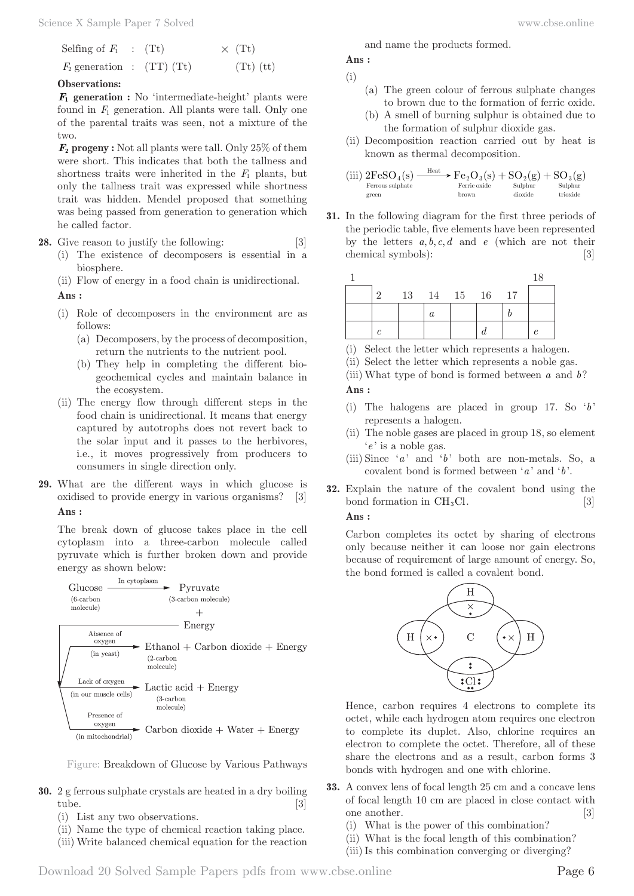| Selfing of $F_1$ : (Tt)      |  | $\times$ (Tt) |
|------------------------------|--|---------------|
| $F_2$ generation : (TT) (Tt) |  | $(Tt)$ (tt)   |

#### **Observations:**

 $\mathbf{F}_1$  generation : No 'intermediate-height' plants were found in *F*1 generation. All plants were tall. Only one of the parental traits was seen, not a mixture of the two.

*F***<sup>2</sup> progeny :** Not all plants were tall. Only 25% of them were short. This indicates that both the tallness and shortness traits were inherited in the  $F_1$  plants, but only the tallness trait was expressed while shortness trait was hidden. Mendel proposed that something was being passed from generation to generation which he called factor.

**28.** Give reason to justify the following: [3]

(i) The existence of decomposers is essential in a biosphere.

(ii) Flow of energy in a food chain is unidirectional.

**Ans :** 

- (i) Role of decomposers in the environment are as follows:
	- (a) Decomposers, by the process of decomposition, return the nutrients to the nutrient pool.
	- (b) They help in completing the different biogeochemical cycles and maintain balance in the ecosystem.
- (ii) The energy flow through different steps in the food chain is unidirectional. It means that energy captured by autotrophs does not revert back to the solar input and it passes to the herbivores, i.e., it moves progressively from producers to consumers in single direction only.
- **29.** What are the different ways in which glucose is oxidised to provide energy in various organisms? [3] **Ans :**

The break down of glucose takes place in the cell cytoplasm into a three-carbon molecule called pyruvate which is further broken down and provide energy as shown below:



Figure: Breakdown of Glucose by Various Pathways

- **30.** 2 g ferrous sulphate crystals are heated in a dry boiling tube. [3]
	- (i) List any two observations.
	- (ii) Name the type of chemical reaction taking place.
	- (iii) Write balanced chemical equation for the reaction

and name the products formed.

**Ans :** 

- (i)
	- (a) The green colour of ferrous sulphate changes to brown due to the formation of ferric oxide.
	- (b) A smell of burning sulphur is obtained due to the formation of sulphur dioxide gas.
- (ii) Decomposition reaction carried out by heat is known as thermal decomposition.

$$
\underset{\text{geren}}{\text{(iii)}}\;2\mathrm{FeSO}_4(s)\underset{\text{Ferrious sulphate}}{\xrightarrow{\text{Heat}}}\;F\mathrm{e}_2\mathrm{O}_3(s)+\mathrm{SO}_2(g)+\mathrm{SO}_3(g)\\ \underset{\text{brown}\\\text{brown}}} {\underset{\text{Buphur}}{\text{Ferric oxide}}}\;+\underset{\text{dioxide}}{\mathrm{SO}_2(g)}+\underset{\text{Suphur}}{\mathrm{SO}_3(g)}
$$

**31.** In the following diagram for the first three periods of the periodic table, five elements have been represented by the letters  $a, b, c, d$  and  $e$  (which are not their chemical symbols): [3]

|                   |  |                    |  | 18 |
|-------------------|--|--------------------|--|----|
| $\cdot$ 9 $\cdot$ |  | 13  14  15  16  17 |  |    |
|                   |  |                    |  |    |
|                   |  |                    |  |    |

(i) Select the letter which represents a halogen.

(ii) Select the letter which represents a noble gas.

(iii) What type of bond is formed between *a* and *b*? **Ans :** 

- (i) The halogens are placed in group 17. So '*b*' represents a halogen.
- (ii) The noble gases are placed in group 18, so element '*e* ' is a noble gas.
- (iii) Since '*a* ' and '*b*' both are non-metals. So, a covalent bond is formed between '*a* ' and '*b*'.
- **32.** Explain the nature of the covalent bond using the bond formation in  $CH<sub>3</sub>Cl$ . [3] **Ans :**

Carbon completes its octet by sharing of electrons only because neither it can loose nor gain electrons because of requirement of large amount of energy. So, the bond formed is called a covalent bond.



Hence, carbon requires 4 electrons to complete its octet, while each hydrogen atom requires one electron to complete its duplet. Also, chlorine requires an electron to complete the octet. Therefore, all of these share the electrons and as a result, carbon forms 3 bonds with hydrogen and one with chlorine.

- **33.** A convex lens of focal length 25 cm and a concave lens of focal length 10 cm are placed in close contact with one another. [3]
	- (i) What is the power of this combination?
	- (ii) What is the focal length of this combination?
	- (iii) Is this combination converging or diverging?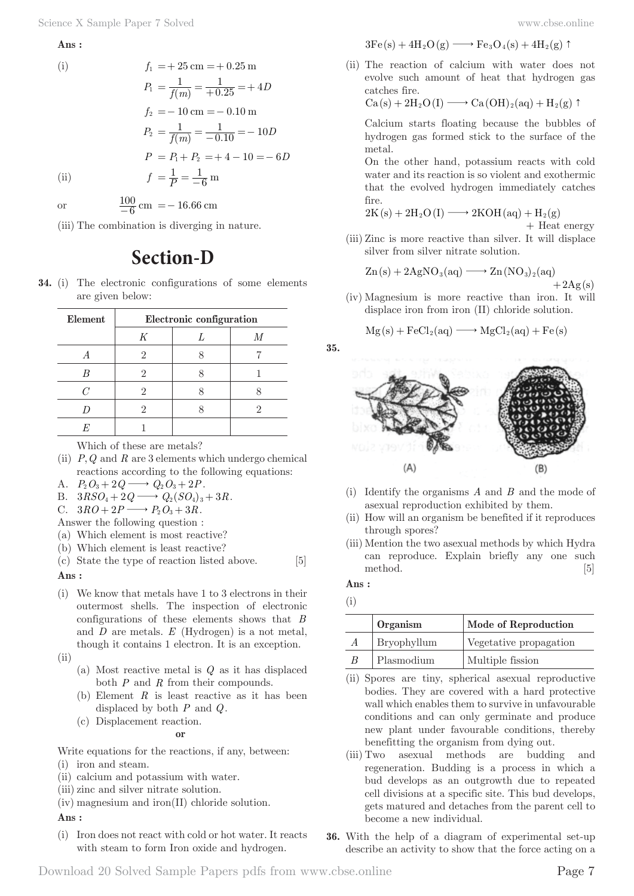**Ans :** 

$$
\rm(i)
$$

(i)  
\n
$$
f_1 = +25 \text{ cm} = +0.25 \text{ m}
$$
\n
$$
P_1 = \frac{1}{f(m)} = \frac{1}{+0.25} = +4D
$$
\n
$$
f_2 = -10 \text{ cm} = -0.10 \text{ m}
$$
\n
$$
P_2 = \frac{1}{f(m)} = \frac{1}{-0.10} = -10D
$$
\n
$$
P = P_1 + P_2 = +4 - 10 = -6D
$$
\n(ii)  
\n
$$
f = \frac{1}{P} = \frac{1}{-6} \text{ m}
$$

or  $\frac{100}{-6}$  cm = -16.66 cm

(iii) The combination is diverging in nature.

# **Section-D**

**34.** (i) The electronic configurations of some elements are given below:

| Element | Electronic configuration |  |  |  |
|---------|--------------------------|--|--|--|
|         | K                        |  |  |  |
|         |                          |  |  |  |
|         |                          |  |  |  |
|         |                          |  |  |  |
|         |                          |  |  |  |
|         |                          |  |  |  |

Which of these are metals?

(ii)  $P, Q$  and  $R$  are 3 elements which undergo chemical reactions according to the following equations:

A.  $P_2O_3 + 2Q \longrightarrow Q_2O_3 + 2P$ .

B. 
$$
3RSO_4 + 2Q \longrightarrow Q_2(SO_4)_3 + 3R.
$$

C.  $3RO + 2P \longrightarrow P_2O_3 + 3R$ .

Answer the following question :

- (a) Which element is most reactive?
- (b) Which element is least reactive?

(c) State the type of reaction listed above. [5] **Ans :** 

(i) We know that metals have 1 to 3 electrons in their outermost shells. The inspection of electronic configurations of these elements shows that *B* and *D* are metals. *E* (Hydrogen) is a not metal, though it contains 1 electron. It is an exception.

 $(ii)$ 

- (a) Most reactive metal is *Q* as it has displaced both *P* and *R* from their compounds.
- (b) Element *R* is least reactive as it has been displaced by both *P* and *Q*.
- (c) Displacement reaction.

**or**

Write equations for the reactions, if any, between:

- (i) iron and steam.
- (ii) calcium and potassium with water.
- (iii) zinc and silver nitrate solution.
- (iv) magnesium and iron(II) chloride solution.

**Ans :** 

(i) Iron does not react with cold or hot water. It reacts with steam to form Iron oxide and hydrogen.

$$
3{\rm Fe\,}(s)+4H_2{\rm O\,}(g)\longrightarrow {\rm Fe\,}_3{\rm O\,}_4(s)+4H_2(g)\uparrow
$$

(ii) The reaction of calcium with water does not evolve such amount of heat that hydrogen gas catches fire.

 $Ca(s) + 2H_2O(I) \longrightarrow Ca(OH)_2(aq) + H_2(g)$ 

 Calcium starts floating because the bubbles of hydrogen gas formed stick to the surface of the metal.

 On the other hand, potassium reacts with cold water and its reaction is so violent and exothermic that the evolved hydrogen immediately catches fire.

$$
2K(s) + 2H_2O(I) \longrightarrow 2KOH(aq) + H_2(g)
$$

+ Heat energy

(iii) Zinc is more reactive than silver. It will displace silver from silver nitrate solution.

$$
Zn(s) + 2AgNO_3(aq) \longrightarrow Zn(NO_3)_2(aq) + 2Ag(s)
$$

(iv) Magnesium is more reactive than iron. It will displace iron from iron (II) chloride solution.

$$
Mg(s) + FeCl_2(aq) \longrightarrow MgCl_2(aq) + Fe(s)
$$





- (i) Identify the organisms *A* and *B* and the mode of asexual reproduction exhibited by them.
- (ii) How will an organism be benefited if it reproduces through spores?
- (iii) Mention the two asexual methods by which Hydra can reproduce. Explain briefly any one such method. [5]

**Ans :** 

|   | Organism    | Mode of Reproduction   |
|---|-------------|------------------------|
| A | Bryophyllum | Vegetative propagation |
| B | Plasmodium  | Multiple fission       |

- (ii) Spores are tiny, spherical asexual reproductive bodies. They are covered with a hard protective wall which enables them to survive in unfavourable conditions and can only germinate and produce new plant under favourable conditions, thereby benefitting the organism from dying out.
- (iii) Two asexual methods are budding and regeneration. Budding is a process in which a bud develops as an outgrowth due to repeated cell divisions at a specific site. This bud develops, gets matured and detaches from the parent cell to become a new individual.
- **36.** With the help of a diagram of experimental set-up describe an activity to show that the force acting on a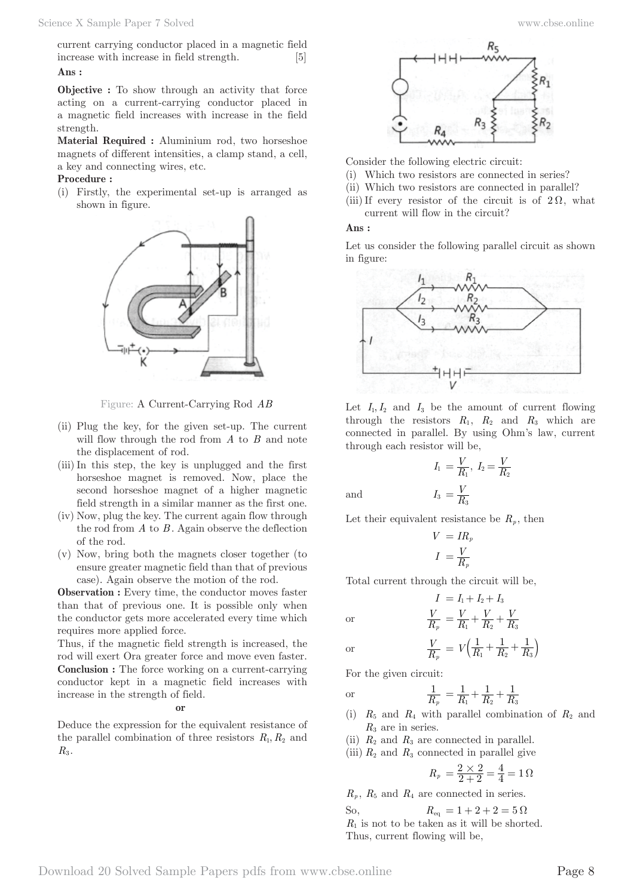current carrying conductor placed in a magnetic field increase with increase in field strength. [5] **Ans :** 

**Objective :** To show through an activity that force acting on a current-carrying conductor placed in a magnetic field increases with increase in the field strength.

**Material Required :** Aluminium rod, two horseshoe magnets of different intensities, a clamp stand, a cell, a key and connecting wires, etc.

### **Procedure :**

(i) Firstly, the experimental set-up is arranged as shown in figure.



Figure: A Current-Carrying Rod *AB*

- (ii) Plug the key, for the given set-up. The current will flow through the rod from *A* to *B* and note the displacement of rod.
- (iii) In this step, the key is unplugged and the first horseshoe magnet is removed. Now, place the second horseshoe magnet of a higher magnetic field strength in a similar manner as the first one.
- (iv) Now, plug the key. The current again flow through the rod from *A* to *B* . Again observe the deflection of the rod.
- (v) Now, bring both the magnets closer together (to ensure greater magnetic field than that of previous case). Again observe the motion of the rod.

**Observation :** Every time, the conductor moves faster than that of previous one. It is possible only when the conductor gets more accelerated every time which requires more applied force.

Thus, if the magnetic field strength is increased, the rod will exert Ora greater force and move even faster. **Conclusion :** The force working on a current-carrying conductor kept in a magnetic field increases with increase in the strength of field.

**or**

Deduce the expression for the equivalent resistance of the parallel combination of three resistors  $R_1, R_2$  and  $R_3$ .



Consider the following electric circuit:

- (i) Which two resistors are connected in series?
- (ii) Which two resistors are connected in parallel?
- (iii) If every resistor of the circuit is of  $2\Omega$ , what current will flow in the circuit?

### **Ans :**

Let us consider the following parallel circuit as shown in figure:



Let  $I_1, I_2$  and  $I_3$  be the amount of current flowing through the resistors  $R_1$ ,  $R_2$  and  $R_3$  which are connected in parallel. By using Ohm's law, current through each resistor will be,

$$
I_1 = \frac{V}{R_1}, I_2 = \frac{V}{R_2}
$$

$$
I_3 = \frac{V}{R_3}
$$

and  $I_3 = \frac{V}{R}$ 

Let their equivalent resistance be  $R_p$ , then

$$
V = IR_p
$$

$$
I = \frac{V}{R_p}
$$

Total current through the circuit will be,

$$
\begin{array}{c} I \ = I_1 + I_2 + I_3 \\ V \ = \ V \ + \ V \ + \end{array}
$$

or 
$$
\frac{V}{R_p} = \frac{V}{R_1} + \frac{V}{R_2} + \frac{V}{R_3}
$$
  
or 
$$
\frac{V}{R_p} = V \left( \frac{1}{R_1} + \frac{1}{R_2} + \frac{1}{R_3} \right)
$$

For the given circuit:

or 
$$
\frac{1}{R_p} = \frac{1}{R_1} + \frac{1}{R_2} + \frac{1}{R_3}
$$

*p*

(i)  $R_5$  and  $R_4$  with parallel combination of  $R_2$  and *R*3 are in series.

*V*

- (ii)  $R_2$  and  $R_3$  are connected in parallel.
- (iii)  $R_2$  and  $R_3$  connected in parallel give

$$
R_p = \frac{2 \times 2}{2 + 2} = \frac{4}{4} = 1 \,\Omega
$$

 $R_p$ ,  $R_5$  and  $R_4$  are connected in series.

So,  $R_{eq} = 1 + 2 + 2 = 5 \Omega$ *R*1 is not to be taken as it will be shorted. Thus, current flowing will be,